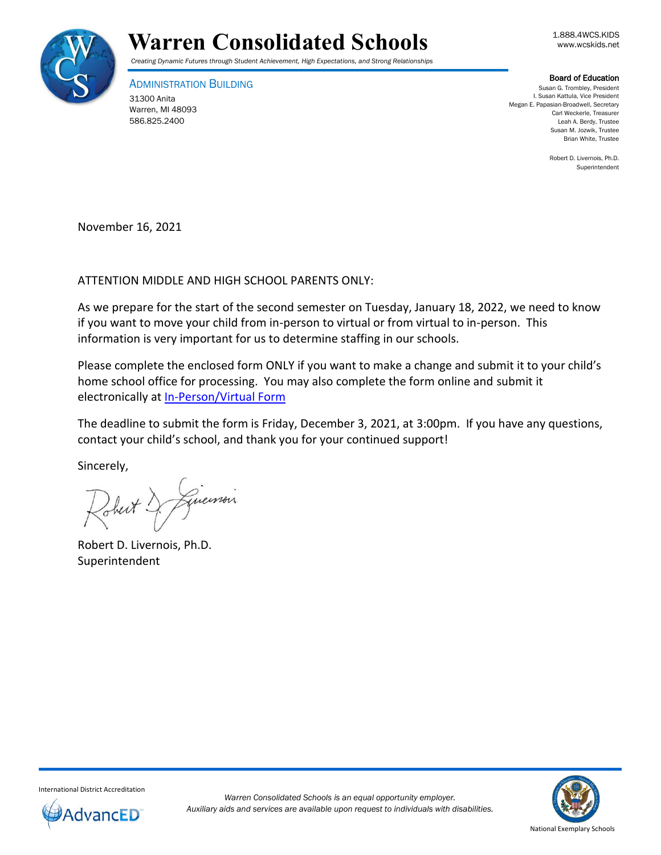



ADMINISTRATION BUILDING 31300 Anita Warren, MI 48093

586.825.2400

#### Board of Education

Susan G. Trombley, President I. Susan Kattula, Vice President Megan E. Papasian-Broadwell, Secretary Carl Weckerle, Treasurer Leah A. Berdy, Trustee Susan M. Jozwik, Trustee Brian White, Trustee

> Robert D. Livernois, Ph.D. Superintendent

November 16, 2021

ATTENTION MIDDLE AND HIGH SCHOOL PARENTS ONLY:

As we prepare for the start of the second semester on Tuesday, January 18, 2022, we need to know if you want to move your child from in-person to virtual or from virtual to in-person. This information is very important for us to determine staffing in our schools.

Please complete the enclosed form ONLY if you want to make a change and submit it to your child's home school office for processing. You may also complete the form online and submit it electronically at [In-Person/Virtual Form](https://www.wcskids.net/DocumentDepot/View/View2.aspx?ID=100440)

The deadline to submit the form is Friday, December 3, 2021, at 3:00pm. If you have any questions, contact your child's school, and thank you for your continued support!

Sincerely,

Guerrois

Robert D. Livernois, Ph.D. Superintendent



International District Accreditation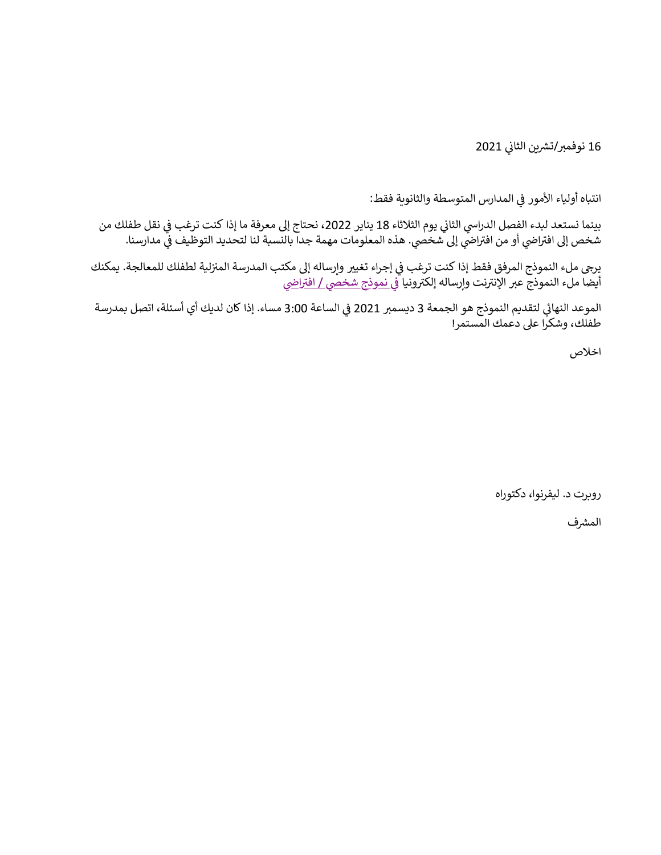16 نوفمبر/تشرين الثاني 2021

انتباه أولياء الأمور في المدارس المتوسطة والثانوية فقط:

بينما نستعد لبدء الفصل الدراسي الثاني يوم الثلاثاء 18 يناير 2022، نحتاج إلى معرفة ما إذا كنت ترغب في نقل طفلك من<br>. ..<br>شخص إلى افتراضي أو من افتراضي إلى شخصي. هذه المعلومات مهمة جدا بالنسبة لنا لتحديد التوظيف في مدارسنا.

يرجى ملء النموذج المرفق فقط إذا كنت ترغب في إجراء تغيير وإرساله إلى مكتب المدرسة المنزلية لطفلك للمعالجة. يمكنك ......<br>أيضا ملء النموذج عبر الإنترنت وإرساله إلكترونيا <u>في نموذج شخصي / افتراض</u>

الموعد النهائي لتقديم النموذج هو الجمعة 3 ديسمبر 2021 في الساعة 3:00 مساء. إذا كان لديك أي أسئلة، اتصل بمدرسة طفلك، وشكرا عىل دعمك المستمر!

اخالص

روبرت د. ليفرنوا، دكتوراه

المشرف